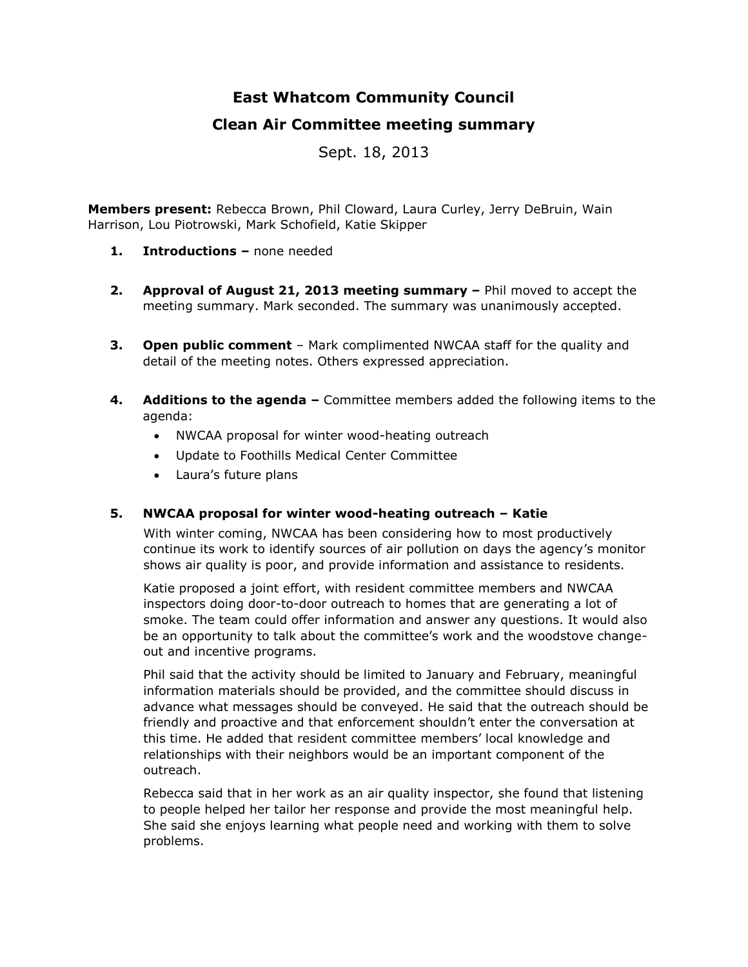# **East Whatcom Community Council**

## **Clean Air Committee meeting summary**

Sept. 18, 2013

**Members present:** Rebecca Brown, Phil Cloward, Laura Curley, Jerry DeBruin, Wain Harrison, Lou Piotrowski, Mark Schofield, Katie Skipper

- **1. Introductions –** none needed
- **2. Approval of August 21, 2013 meeting summary –** Phil moved to accept the meeting summary. Mark seconded. The summary was unanimously accepted.
- **3. Open public comment**  Mark complimented NWCAA staff for the quality and detail of the meeting notes. Others expressed appreciation.
- **4. Additions to the agenda –** Committee members added the following items to the agenda:
	- NWCAA proposal for winter wood-heating outreach
	- Update to Foothills Medical Center Committee
	- Laura's future plans

### **5. NWCAA proposal for winter wood-heating outreach – Katie**

With winter coming, NWCAA has been considering how to most productively continue its work to identify sources of air pollution on days the agency's monitor shows air quality is poor, and provide information and assistance to residents.

Katie proposed a joint effort, with resident committee members and NWCAA inspectors doing door-to-door outreach to homes that are generating a lot of smoke. The team could offer information and answer any questions. It would also be an opportunity to talk about the committee's work and the woodstove changeout and incentive programs.

Phil said that the activity should be limited to January and February, meaningful information materials should be provided, and the committee should discuss in advance what messages should be conveyed. He said that the outreach should be friendly and proactive and that enforcement shouldn't enter the conversation at this time. He added that resident committee members' local knowledge and relationships with their neighbors would be an important component of the outreach.

Rebecca said that in her work as an air quality inspector, she found that listening to people helped her tailor her response and provide the most meaningful help. She said she enjoys learning what people need and working with them to solve problems.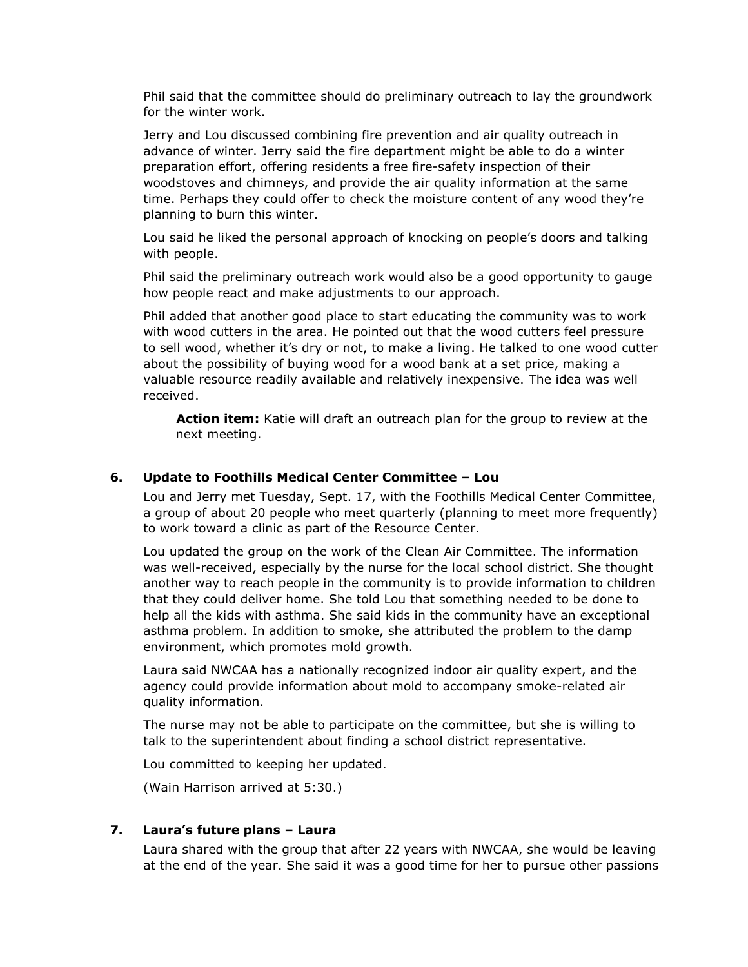Phil said that the committee should do preliminary outreach to lay the groundwork for the winter work.

Jerry and Lou discussed combining fire prevention and air quality outreach in advance of winter. Jerry said the fire department might be able to do a winter preparation effort, offering residents a free fire-safety inspection of their woodstoves and chimneys, and provide the air quality information at the same time. Perhaps they could offer to check the moisture content of any wood they're planning to burn this winter.

Lou said he liked the personal approach of knocking on people's doors and talking with people.

Phil said the preliminary outreach work would also be a good opportunity to gauge how people react and make adjustments to our approach.

Phil added that another good place to start educating the community was to work with wood cutters in the area. He pointed out that the wood cutters feel pressure to sell wood, whether it's dry or not, to make a living. He talked to one wood cutter about the possibility of buying wood for a wood bank at a set price, making a valuable resource readily available and relatively inexpensive. The idea was well received.

**Action item:** Katie will draft an outreach plan for the group to review at the next meeting.

#### **6. Update to Foothills Medical Center Committee – Lou**

Lou and Jerry met Tuesday, Sept. 17, with the Foothills Medical Center Committee, a group of about 20 people who meet quarterly (planning to meet more frequently) to work toward a clinic as part of the Resource Center.

Lou updated the group on the work of the Clean Air Committee. The information was well-received, especially by the nurse for the local school district. She thought another way to reach people in the community is to provide information to children that they could deliver home. She told Lou that something needed to be done to help all the kids with asthma. She said kids in the community have an exceptional asthma problem. In addition to smoke, she attributed the problem to the damp environment, which promotes mold growth.

Laura said NWCAA has a nationally recognized indoor air quality expert, and the agency could provide information about mold to accompany smoke-related air quality information.

The nurse may not be able to participate on the committee, but she is willing to talk to the superintendent about finding a school district representative.

Lou committed to keeping her updated.

(Wain Harrison arrived at 5:30.)

#### **7. Laura's future plans – Laura**

Laura shared with the group that after 22 years with NWCAA, she would be leaving at the end of the year. She said it was a good time for her to pursue other passions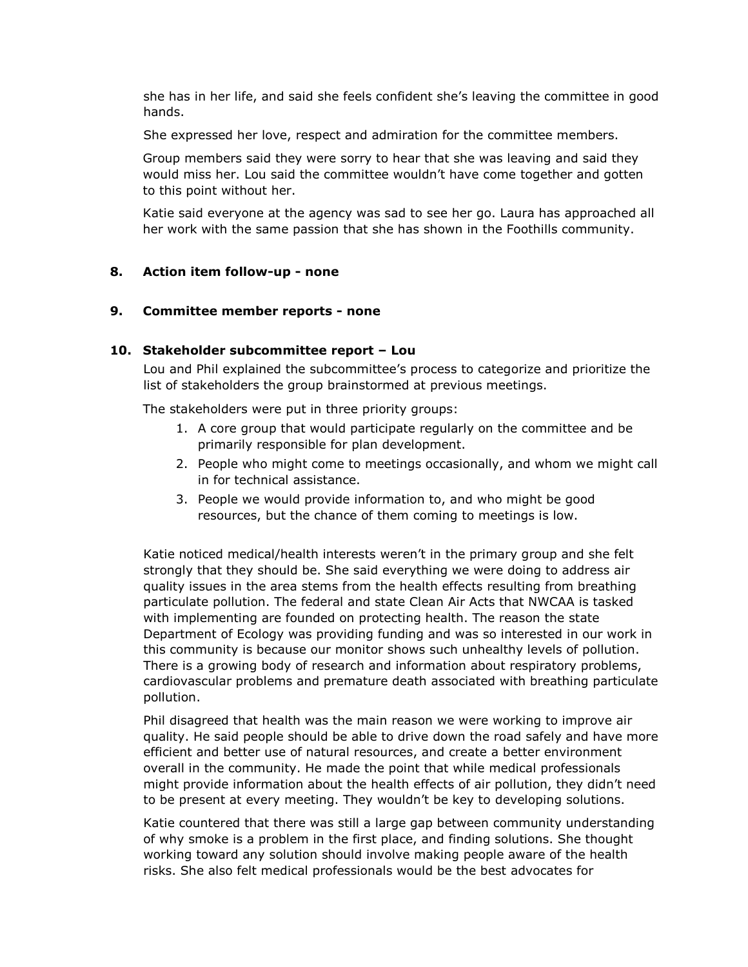she has in her life, and said she feels confident she's leaving the committee in good hands.

She expressed her love, respect and admiration for the committee members.

Group members said they were sorry to hear that she was leaving and said they would miss her. Lou said the committee wouldn't have come together and gotten to this point without her.

Katie said everyone at the agency was sad to see her go. Laura has approached all her work with the same passion that she has shown in the Foothills community.

#### **8. Action item follow-up - none**

#### **9. Committee member reports - none**

#### **10. Stakeholder subcommittee report – Lou**

Lou and Phil explained the subcommittee's process to categorize and prioritize the list of stakeholders the group brainstormed at previous meetings.

The stakeholders were put in three priority groups:

- 1. A core group that would participate regularly on the committee and be primarily responsible for plan development.
- 2. People who might come to meetings occasionally, and whom we might call in for technical assistance.
- 3. People we would provide information to, and who might be good resources, but the chance of them coming to meetings is low.

Katie noticed medical/health interests weren't in the primary group and she felt strongly that they should be. She said everything we were doing to address air quality issues in the area stems from the health effects resulting from breathing particulate pollution. The federal and state Clean Air Acts that NWCAA is tasked with implementing are founded on protecting health. The reason the state Department of Ecology was providing funding and was so interested in our work in this community is because our monitor shows such unhealthy levels of pollution. There is a growing body of research and information about respiratory problems, cardiovascular problems and premature death associated with breathing particulate pollution.

Phil disagreed that health was the main reason we were working to improve air quality. He said people should be able to drive down the road safely and have more efficient and better use of natural resources, and create a better environment overall in the community. He made the point that while medical professionals might provide information about the health effects of air pollution, they didn't need to be present at every meeting. They wouldn't be key to developing solutions.

Katie countered that there was still a large gap between community understanding of why smoke is a problem in the first place, and finding solutions. She thought working toward any solution should involve making people aware of the health risks. She also felt medical professionals would be the best advocates for